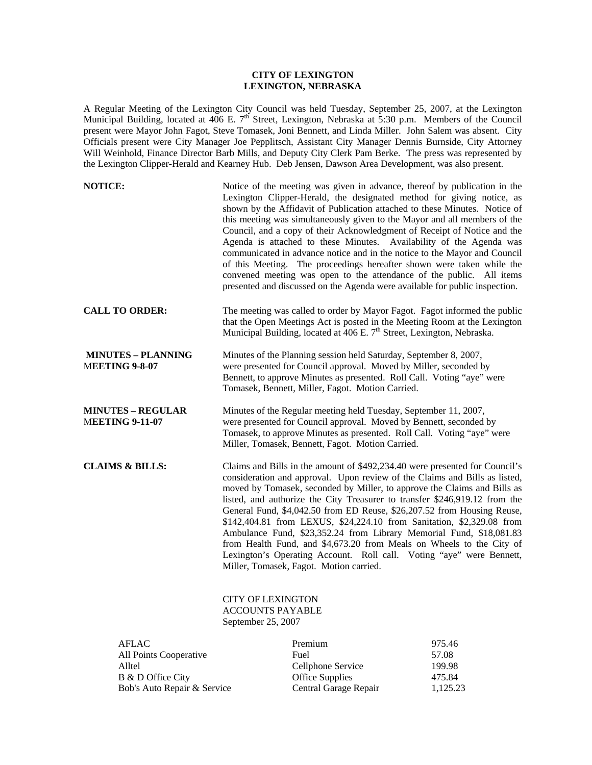## **CITY OF LEXINGTON LEXINGTON, NEBRASKA**

A Regular Meeting of the Lexington City Council was held Tuesday, September 25, 2007, at the Lexington Municipal Building, located at 406 E. 7<sup>th</sup> Street, Lexington, Nebraska at 5:30 p.m. Members of the Council present were Mayor John Fagot, Steve Tomasek, Joni Bennett, and Linda Miller. John Salem was absent. City Officials present were City Manager Joe Pepplitsch, Assistant City Manager Dennis Burnside, City Attorney Will Weinhold, Finance Director Barb Mills, and Deputy City Clerk Pam Berke. The press was represented by the Lexington Clipper-Herald and Kearney Hub. Deb Jensen, Dawson Area Development, was also present.

| <b>NOTICE:</b>                                     | Notice of the meeting was given in advance, thereof by publication in the<br>Lexington Clipper-Herald, the designated method for giving notice, as<br>shown by the Affidavit of Publication attached to these Minutes. Notice of<br>this meeting was simultaneously given to the Mayor and all members of the<br>Council, and a copy of their Acknowledgment of Receipt of Notice and the<br>Agenda is attached to these Minutes. Availability of the Agenda was<br>communicated in advance notice and in the notice to the Mayor and Council<br>of this Meeting. The proceedings hereafter shown were taken while the<br>convened meeting was open to the attendance of the public. All items<br>presented and discussed on the Agenda were available for public inspection. |
|----------------------------------------------------|-------------------------------------------------------------------------------------------------------------------------------------------------------------------------------------------------------------------------------------------------------------------------------------------------------------------------------------------------------------------------------------------------------------------------------------------------------------------------------------------------------------------------------------------------------------------------------------------------------------------------------------------------------------------------------------------------------------------------------------------------------------------------------|
| <b>CALL TO ORDER:</b>                              | The meeting was called to order by Mayor Fagot. Fagot informed the public<br>that the Open Meetings Act is posted in the Meeting Room at the Lexington<br>Municipal Building, located at 406 E. 7 <sup>th</sup> Street, Lexington, Nebraska.                                                                                                                                                                                                                                                                                                                                                                                                                                                                                                                                  |
| <b>MINUTES - PLANNING</b><br><b>MEETING 9-8-07</b> | Minutes of the Planning session held Saturday, September 8, 2007,<br>were presented for Council approval. Moved by Miller, seconded by<br>Bennett, to approve Minutes as presented. Roll Call. Voting "aye" were<br>Tomasek, Bennett, Miller, Fagot. Motion Carried.                                                                                                                                                                                                                                                                                                                                                                                                                                                                                                          |
| <b>MINUTES – REGULAR</b><br><b>MEETING 9-11-07</b> | Minutes of the Regular meeting held Tuesday, September 11, 2007,<br>were presented for Council approval. Moved by Bennett, seconded by<br>Tomasek, to approve Minutes as presented. Roll Call. Voting "aye" were<br>Miller, Tomasek, Bennett, Fagot. Motion Carried.                                                                                                                                                                                                                                                                                                                                                                                                                                                                                                          |
| <b>CLAIMS &amp; BILLS:</b>                         | Claims and Bills in the amount of \$492,234.40 were presented for Council's<br>consideration and approval. Upon review of the Claims and Bills as listed,<br>moved by Tomasek, seconded by Miller, to approve the Claims and Bills as<br>listed, and authorize the City Treasurer to transfer \$246,919.12 from the<br>General Fund, \$4,042.50 from ED Reuse, \$26,207.52 from Housing Reuse,<br>\$142,404.81 from LEXUS, \$24,224.10 from Sanitation, \$2,329.08 from<br>Ambulance Fund, \$23,352.24 from Library Memorial Fund, \$18,081.83<br>from Health Fund, and \$4,673.20 from Meals on Wheels to the City of<br>Lexington's Operating Account. Roll call. Voting "aye" were Bennett,<br>Miller, Tomasek, Fagot. Motion carried.                                     |
|                                                    | <b>CITY OF LEXINGTON</b><br><b>ACCOUNTS PAYABLE</b>                                                                                                                                                                                                                                                                                                                                                                                                                                                                                                                                                                                                                                                                                                                           |

September 25, 2007

| <b>AFLAC</b>                | Premium                | 975.46   |
|-----------------------------|------------------------|----------|
| All Points Cooperative      | Fuel                   | 57.08    |
| Alltel                      | Cellphone Service      | 199.98   |
| B & D Office City           | <b>Office Supplies</b> | 475.84   |
| Bob's Auto Repair & Service | Central Garage Repair  | 1,125.23 |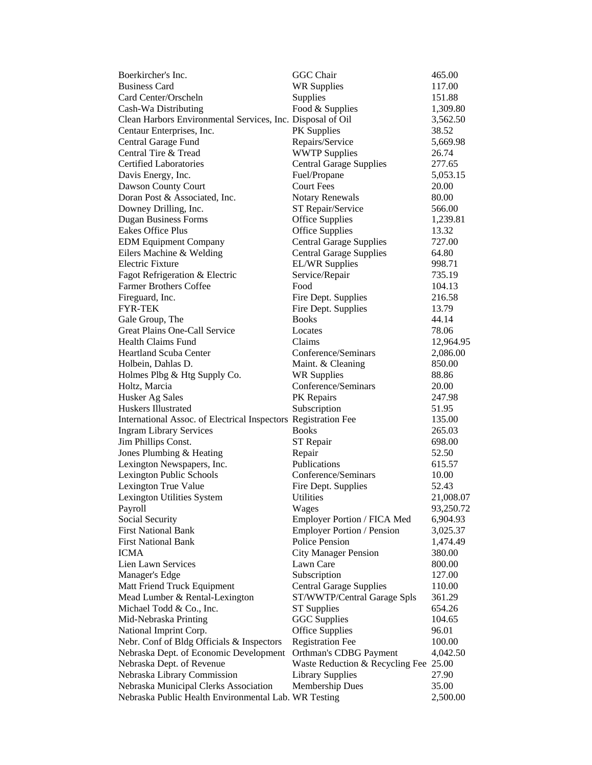| Boerkircher's Inc.                                             | <b>GGC</b> Chair                      | 465.00    |
|----------------------------------------------------------------|---------------------------------------|-----------|
| <b>Business Card</b>                                           | <b>WR Supplies</b>                    | 117.00    |
| Card Center/Orscheln                                           | Supplies                              | 151.88    |
| Cash-Wa Distributing                                           | Food & Supplies                       | 1,309.80  |
| Clean Harbors Environmental Services, Inc. Disposal of Oil     |                                       | 3,562.50  |
| Centaur Enterprises, Inc.                                      | PK Supplies                           | 38.52     |
| Central Garage Fund                                            | Repairs/Service                       | 5,669.98  |
| Central Tire & Tread                                           | <b>WWTP Supplies</b>                  | 26.74     |
| <b>Certified Laboratories</b>                                  | <b>Central Garage Supplies</b>        | 277.65    |
| Davis Energy, Inc.                                             | Fuel/Propane                          | 5,053.15  |
| Dawson County Court                                            | <b>Court Fees</b>                     | 20.00     |
| Doran Post & Associated, Inc.                                  | <b>Notary Renewals</b>                | 80.00     |
| Downey Drilling, Inc.                                          | ST Repair/Service                     | 566.00    |
| <b>Dugan Business Forms</b>                                    | <b>Office Supplies</b>                | 1,239.81  |
| <b>Eakes Office Plus</b>                                       | <b>Office Supplies</b>                | 13.32     |
| <b>EDM Equipment Company</b>                                   | <b>Central Garage Supplies</b>        | 727.00    |
| Eilers Machine & Welding                                       | <b>Central Garage Supplies</b>        | 64.80     |
| <b>Electric Fixture</b>                                        | <b>EL/WR Supplies</b>                 | 998.71    |
| Fagot Refrigeration & Electric                                 | Service/Repair                        | 735.19    |
| <b>Farmer Brothers Coffee</b>                                  | Food                                  | 104.13    |
| Fireguard, Inc.                                                | Fire Dept. Supplies                   | 216.58    |
| <b>FYR-TEK</b>                                                 | Fire Dept. Supplies                   | 13.79     |
| Gale Group, The                                                | <b>Books</b>                          | 44.14     |
| Great Plains One-Call Service                                  | Locates                               | 78.06     |
| <b>Health Claims Fund</b>                                      | Claims                                | 12,964.95 |
| <b>Heartland Scuba Center</b>                                  | Conference/Seminars                   | 2,086.00  |
| Holbein, Dahlas D.                                             | Maint. & Cleaning                     | 850.00    |
| Holmes Plbg & Htg Supply Co.                                   | <b>WR Supplies</b>                    | 88.86     |
| Holtz, Marcia                                                  | Conference/Seminars                   | 20.00     |
| Husker Ag Sales                                                | PK Repairs                            | 247.98    |
| Huskers Illustrated                                            | Subscription                          | 51.95     |
| International Assoc. of Electrical Inspectors Registration Fee |                                       | 135.00    |
| <b>Ingram Library Services</b>                                 | <b>Books</b>                          | 265.03    |
| Jim Phillips Const.                                            | ST Repair                             | 698.00    |
| Jones Plumbing & Heating                                       | Repair                                | 52.50     |
| Lexington Newspapers, Inc.                                     | Publications                          | 615.57    |
| Lexington Public Schools                                       | Conference/Seminars                   | 10.00     |
| Lexington True Value                                           | Fire Dept. Supplies                   | 52.43     |
| Lexington Utilities System                                     | <b>Utilities</b>                      | 21,008.07 |
| Payroll                                                        | Wages                                 | 93,250.72 |
| Social Security                                                | Employer Portion / FICA Med           | 6,904.93  |
| <b>First National Bank</b>                                     | <b>Employer Portion / Pension</b>     | 3,025.37  |
| <b>First National Bank</b>                                     | Police Pension                        | 1,474.49  |
| ICMA                                                           | <b>City Manager Pension</b>           | 380.00    |
| Lien Lawn Services                                             | Lawn Care                             | 800.00    |
| Manager's Edge                                                 | Subscription                          | 127.00    |
| Matt Friend Truck Equipment                                    | <b>Central Garage Supplies</b>        | 110.00    |
| Mead Lumber & Rental-Lexington                                 | ST/WWTP/Central Garage Spls           | 361.29    |
| Michael Todd & Co., Inc.                                       | <b>ST</b> Supplies                    | 654.26    |
| Mid-Nebraska Printing                                          | GGC Supplies                          | 104.65    |
| National Imprint Corp.                                         | <b>Office Supplies</b>                | 96.01     |
| Nebr. Conf of Bldg Officials & Inspectors                      | <b>Registration Fee</b>               | 100.00    |
| Nebraska Dept. of Economic Development                         | Orthman's CDBG Payment                | 4,042.50  |
| Nebraska Dept. of Revenue                                      | Waste Reduction & Recycling Fee 25.00 |           |
| Nebraska Library Commission                                    | <b>Library Supplies</b>               | 27.90     |
| Nebraska Municipal Clerks Association                          | <b>Membership Dues</b>                | 35.00     |
| Nebraska Public Health Environmental Lab. WR Testing           |                                       | 2,500.00  |
|                                                                |                                       |           |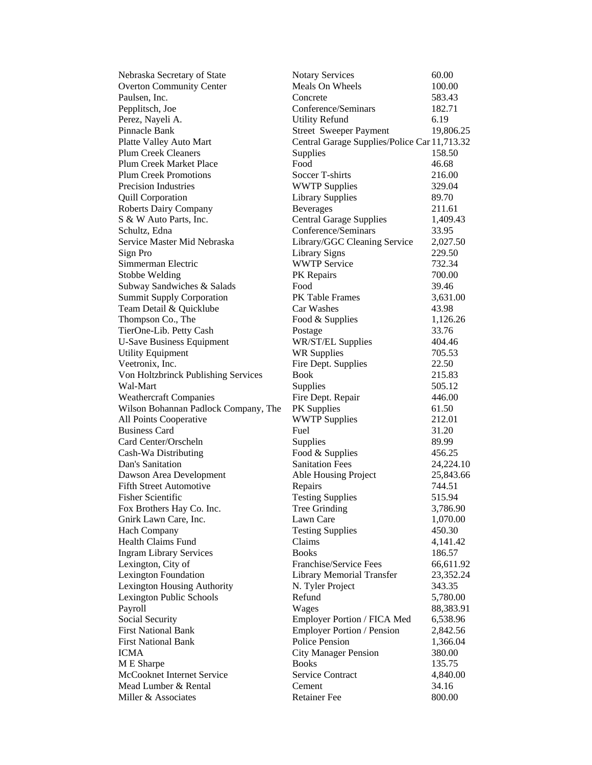| Nebraska Secretary of State          | <b>Notary Services</b>                       | 60.00     |
|--------------------------------------|----------------------------------------------|-----------|
| <b>Overton Community Center</b>      | Meals On Wheels                              | 100.00    |
| Paulsen, Inc.                        | Concrete                                     | 583.43    |
| Pepplitsch, Joe                      | Conference/Seminars                          | 182.71    |
| Perez, Nayeli A.                     | <b>Utility Refund</b>                        | 6.19      |
| Pinnacle Bank                        | <b>Street Sweeper Payment</b>                | 19,806.25 |
| Platte Valley Auto Mart              | Central Garage Supplies/Police Car 11,713.32 |           |
| <b>Plum Creek Cleaners</b>           | Supplies                                     | 158.50    |
| <b>Plum Creek Market Place</b>       | Food                                         | 46.68     |
| <b>Plum Creek Promotions</b>         | Soccer T-shirts                              | 216.00    |
| <b>Precision Industries</b>          | <b>WWTP Supplies</b>                         | 329.04    |
| <b>Quill Corporation</b>             | <b>Library Supplies</b>                      | 89.70     |
| <b>Roberts Dairy Company</b>         | <b>Beverages</b>                             | 211.61    |
| S & W Auto Parts, Inc.               | <b>Central Garage Supplies</b>               | 1,409.43  |
| Schultz, Edna                        | Conference/Seminars                          | 33.95     |
| Service Master Mid Nebraska          | Library/GGC Cleaning Service                 | 2,027.50  |
| Sign Pro                             | <b>Library Signs</b>                         | 229.50    |
| Simmerman Electric                   | <b>WWTP Service</b>                          | 732.34    |
| Stobbe Welding                       | PK Repairs                                   | 700.00    |
| Subway Sandwiches & Salads           | Food                                         | 39.46     |
| <b>Summit Supply Corporation</b>     | PK Table Frames                              | 3,631.00  |
| Team Detail & Quicklube              | Car Washes                                   | 43.98     |
| Thompson Co., The                    | Food & Supplies                              | 1,126.26  |
| TierOne-Lib. Petty Cash              | Postage                                      | 33.76     |
| <b>U-Save Business Equipment</b>     | WR/ST/EL Supplies                            | 404.46    |
| <b>Utility Equipment</b>             | <b>WR Supplies</b>                           | 705.53    |
| Veetronix, Inc.                      | Fire Dept. Supplies                          | 22.50     |
| Von Holtzbrinck Publishing Services  | <b>Book</b>                                  | 215.83    |
| Wal-Mart                             | Supplies                                     | 505.12    |
| <b>Weathercraft Companies</b>        | Fire Dept. Repair                            | 446.00    |
| Wilson Bohannan Padlock Company, The | PK Supplies                                  | 61.50     |
| All Points Cooperative               | <b>WWTP Supplies</b>                         | 212.01    |
| <b>Business Card</b>                 | Fuel                                         | 31.20     |
| Card Center/Orscheln                 | Supplies                                     | 89.99     |
| Cash-Wa Distributing                 | Food & Supplies                              | 456.25    |
| Dan's Sanitation                     | <b>Sanitation Fees</b>                       | 24,224.10 |
| Dawson Area Development              | Able Housing Project                         | 25,843.66 |
| <b>Fifth Street Automotive</b>       | Repairs                                      | 744.51    |
| <b>Fisher Scientific</b>             | <b>Testing Supplies</b>                      | 515.94    |
| Fox Brothers Hay Co. Inc.            | Tree Grinding                                | 3,786.90  |
| Gnirk Lawn Care, Inc.                | Lawn Care                                    | 1,070.00  |
| <b>Hach Company</b>                  | <b>Testing Supplies</b>                      | 450.30    |
| <b>Health Claims Fund</b>            | Claims                                       | 4,141.42  |
| <b>Ingram Library Services</b>       | <b>Books</b>                                 | 186.57    |
| Lexington, City of                   | Franchise/Service Fees                       | 66,611.92 |
| <b>Lexington Foundation</b>          | <b>Library Memorial Transfer</b>             | 23,352.24 |
| Lexington Housing Authority          | N. Tyler Project                             | 343.35    |
| Lexington Public Schools             | Refund                                       | 5,780.00  |
| Payroll                              | Wages                                        | 88,383.91 |
| Social Security                      | Employer Portion / FICA Med                  | 6,538.96  |
| <b>First National Bank</b>           | <b>Employer Portion / Pension</b>            | 2,842.56  |
| <b>First National Bank</b>           | Police Pension                               | 1,366.04  |
| <b>ICMA</b>                          | <b>City Manager Pension</b>                  | 380.00    |
| M E Sharpe                           | <b>Books</b>                                 | 135.75    |
| McCooknet Internet Service           | <b>Service Contract</b>                      | 4,840.00  |
| Mead Lumber & Rental                 | Cement                                       | 34.16     |
| Miller & Associates                  | <b>Retainer Fee</b>                          | 800.00    |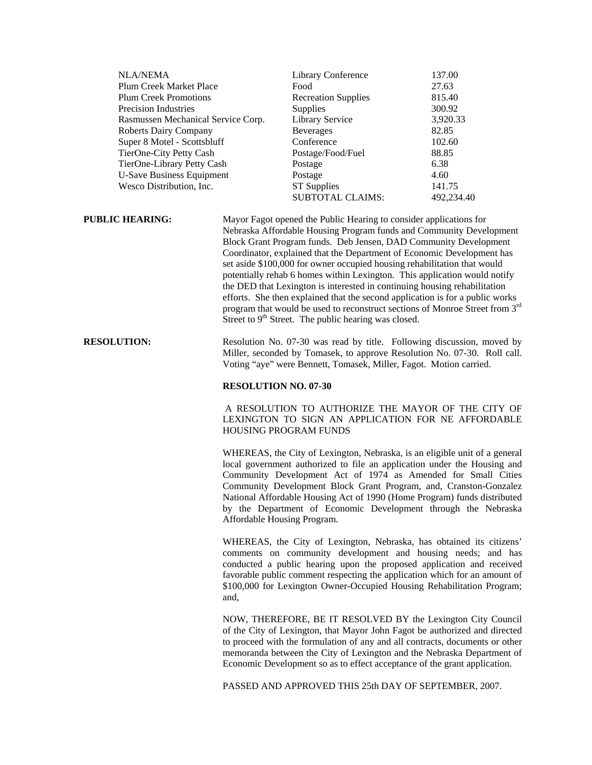| <b>NLA/NEMA</b>                                                                                                                                                                                                                                                                           |  | Library Conference                                                                                                                                                                                                                                                                                                                                                                                                                                                                                                                                                                                                                                                                                                                                                   | 137.00     |
|-------------------------------------------------------------------------------------------------------------------------------------------------------------------------------------------------------------------------------------------------------------------------------------------|--|----------------------------------------------------------------------------------------------------------------------------------------------------------------------------------------------------------------------------------------------------------------------------------------------------------------------------------------------------------------------------------------------------------------------------------------------------------------------------------------------------------------------------------------------------------------------------------------------------------------------------------------------------------------------------------------------------------------------------------------------------------------------|------------|
| Plum Creek Market Place                                                                                                                                                                                                                                                                   |  | Food                                                                                                                                                                                                                                                                                                                                                                                                                                                                                                                                                                                                                                                                                                                                                                 | 27.63      |
| <b>Plum Creek Promotions</b><br><b>Precision Industries</b><br>Rasmussen Mechanical Service Corp.<br><b>Roberts Dairy Company</b><br>Super 8 Motel - Scottsbluff<br>TierOne-City Petty Cash<br>TierOne-Library Petty Cash<br><b>U-Save Business Equipment</b><br>Wesco Distribution, Inc. |  | <b>Recreation Supplies</b>                                                                                                                                                                                                                                                                                                                                                                                                                                                                                                                                                                                                                                                                                                                                           | 815.40     |
|                                                                                                                                                                                                                                                                                           |  | <b>Supplies</b>                                                                                                                                                                                                                                                                                                                                                                                                                                                                                                                                                                                                                                                                                                                                                      | 300.92     |
|                                                                                                                                                                                                                                                                                           |  | Library Service                                                                                                                                                                                                                                                                                                                                                                                                                                                                                                                                                                                                                                                                                                                                                      | 3,920.33   |
|                                                                                                                                                                                                                                                                                           |  | <b>Beverages</b>                                                                                                                                                                                                                                                                                                                                                                                                                                                                                                                                                                                                                                                                                                                                                     | 82.85      |
|                                                                                                                                                                                                                                                                                           |  | Conference                                                                                                                                                                                                                                                                                                                                                                                                                                                                                                                                                                                                                                                                                                                                                           | 102.60     |
|                                                                                                                                                                                                                                                                                           |  | Postage/Food/Fuel                                                                                                                                                                                                                                                                                                                                                                                                                                                                                                                                                                                                                                                                                                                                                    | 88.85      |
|                                                                                                                                                                                                                                                                                           |  | Postage                                                                                                                                                                                                                                                                                                                                                                                                                                                                                                                                                                                                                                                                                                                                                              | 6.38       |
|                                                                                                                                                                                                                                                                                           |  | Postage                                                                                                                                                                                                                                                                                                                                                                                                                                                                                                                                                                                                                                                                                                                                                              | 4.60       |
|                                                                                                                                                                                                                                                                                           |  | ST Supplies                                                                                                                                                                                                                                                                                                                                                                                                                                                                                                                                                                                                                                                                                                                                                          | 141.75     |
|                                                                                                                                                                                                                                                                                           |  | <b>SUBTOTAL CLAIMS:</b>                                                                                                                                                                                                                                                                                                                                                                                                                                                                                                                                                                                                                                                                                                                                              | 492,234.40 |
| <b>PUBLIC HEARING:</b>                                                                                                                                                                                                                                                                    |  | Mayor Fagot opened the Public Hearing to consider applications for<br>Nebraska Affordable Housing Program funds and Community Development<br>Block Grant Program funds. Deb Jensen, DAD Community Development<br>Coordinator, explained that the Department of Economic Development has<br>set aside \$100,000 for owner occupied housing rehabilitation that would<br>potentially rehab 6 homes within Lexington. This application would notify<br>the DED that Lexington is interested in continuing housing rehabilitation<br>efforts. She then explained that the second application is for a public works<br>program that would be used to reconstruct sections of Monroe Street from 3 <sup>rd</sup><br>Street to $9th$ Street. The public hearing was closed. |            |

**RESOLUTION:** Resolution No. 07-30 was read by title. Following discussion, moved by Miller, seconded by Tomasek, to approve Resolution No. 07-30. Roll call. Voting "aye" were Bennett, Tomasek, Miller, Fagot. Motion carried.

## **RESOLUTION NO. 07-30**

 A RESOLUTION TO AUTHORIZE THE MAYOR OF THE CITY OF LEXINGTON TO SIGN AN APPLICATION FOR NE AFFORDABLE HOUSING PROGRAM FUNDS

WHEREAS, the City of Lexington, Nebraska, is an eligible unit of a general local government authorized to file an application under the Housing and Community Development Act of 1974 as Amended for Small Cities Community Development Block Grant Program, and, Cranston-Gonzalez National Affordable Housing Act of 1990 (Home Program) funds distributed by the Department of Economic Development through the Nebraska Affordable Housing Program.

WHEREAS, the City of Lexington, Nebraska, has obtained its citizens' comments on community development and housing needs; and has conducted a public hearing upon the proposed application and received favorable public comment respecting the application which for an amount of \$100,000 for Lexington Owner-Occupied Housing Rehabilitation Program; and,

NOW, THEREFORE, BE IT RESOLVED BY the Lexington City Council of the City of Lexington, that Mayor John Fagot be authorized and directed to proceed with the formulation of any and all contracts, documents or other memoranda between the City of Lexington and the Nebraska Department of Economic Development so as to effect acceptance of the grant application.

PASSED AND APPROVED THIS 25th DAY OF SEPTEMBER, 2007.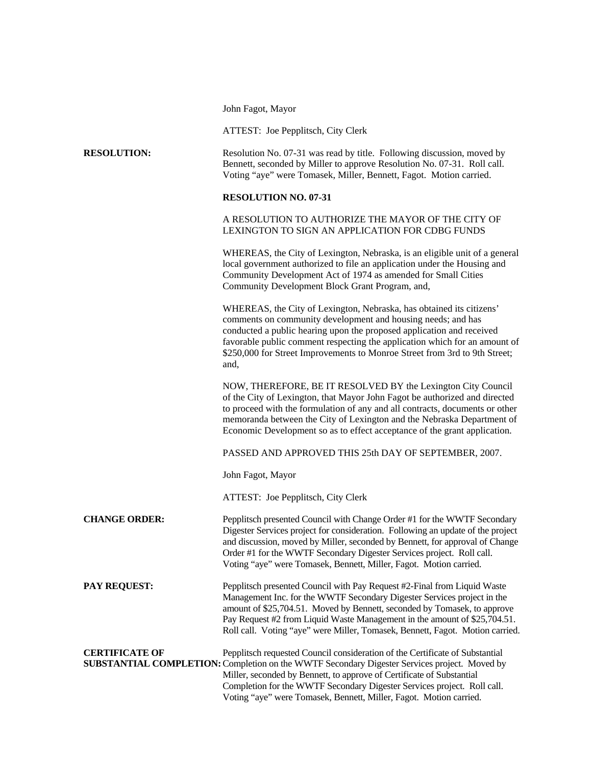John Fagot, Mayor

ATTEST: Joe Pepplitsch, City Clerk

| <b>RESOLUTION:</b> | Resolution No. 07-31 was read by title. Following discussion, moved by  |
|--------------------|-------------------------------------------------------------------------|
|                    | Bennett, seconded by Miller to approve Resolution No. 07-31. Roll call. |
|                    | Voting "aye" were Tomasek, Miller, Bennett, Fagot. Motion carried.      |

## **RESOLUTION NO. 07-31**

A RESOLUTION TO AUTHORIZE THE MAYOR OF THE CITY OF LEXINGTON TO SIGN AN APPLICATION FOR CDBG FUNDS

WHEREAS, the City of Lexington, Nebraska, is an eligible unit of a general local government authorized to file an application under the Housing and Community Development Act of 1974 as amended for Small Cities Community Development Block Grant Program, and,

WHEREAS, the City of Lexington, Nebraska, has obtained its citizens' comments on community development and housing needs; and has conducted a public hearing upon the proposed application and received favorable public comment respecting the application which for an amount of \$250,000 for Street Improvements to Monroe Street from 3rd to 9th Street; and,

NOW, THEREFORE, BE IT RESOLVED BY the Lexington City Council of the City of Lexington, that Mayor John Fagot be authorized and directed to proceed with the formulation of any and all contracts, documents or other memoranda between the City of Lexington and the Nebraska Department of Economic Development so as to effect acceptance of the grant application.

PASSED AND APPROVED THIS 25th DAY OF SEPTEMBER, 2007.

John Fagot, Mayor

ATTEST: Joe Pepplitsch, City Clerk

**CHANGE ORDER:** Pepplitsch presented Council with Change Order #1 for the WWTF Secondary Digester Services project for consideration. Following an update of the project and discussion, moved by Miller, seconded by Bennett, for approval of Change Order #1 for the WWTF Secondary Digester Services project. Roll call. Voting "aye" were Tomasek, Bennett, Miller, Fagot. Motion carried.

**PAY REQUEST:** Pepplitsch presented Council with Pay Request #2-Final from Liquid Waste Management Inc. for the WWTF Secondary Digester Services project in the amount of \$25,704.51. Moved by Bennett, seconded by Tomasek, to approve Pay Request #2 from Liquid Waste Management in the amount of \$25,704.51. Roll call. Voting "aye" were Miller, Tomasek, Bennett, Fagot. Motion carried.

**CERTIFICATE OF** Pepplitsch requested Council consideration of the Certificate of Substantial **SUBSTANTIAL COMPLETION:** Completion on the WWTF Secondary Digester Services project. Moved by Miller, seconded by Bennett, to approve of Certificate of Substantial Completion for the WWTF Secondary Digester Services project. Roll call. Voting "aye" were Tomasek, Bennett, Miller, Fagot. Motion carried.